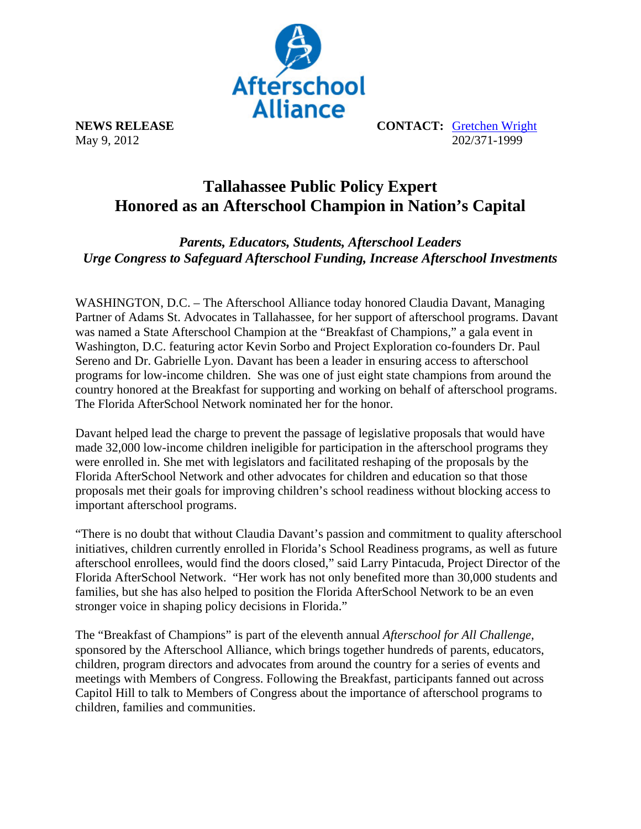

**NEWS RELEASE CONTACT:** Gretchen Wright May 9, 2012 202/371-1999

## **Tallahassee Public Policy Expert Honored as an Afterschool Champion in Nation's Capital**

*Parents, Educators, Students, Afterschool Leaders Urge Congress to Safeguard Afterschool Funding, Increase Afterschool Investments* 

WASHINGTON, D.C. – The Afterschool Alliance today honored Claudia Davant, Managing Partner of Adams St. Advocates in Tallahassee, for her support of afterschool programs. Davant was named a State Afterschool Champion at the "Breakfast of Champions," a gala event in Washington, D.C. featuring actor Kevin Sorbo and Project Exploration co-founders Dr. Paul Sereno and Dr. Gabrielle Lyon. Davant has been a leader in ensuring access to afterschool programs for low-income children. She was one of just eight state champions from around the country honored at the Breakfast for supporting and working on behalf of afterschool programs. The Florida AfterSchool Network nominated her for the honor.

Davant helped lead the charge to prevent the passage of legislative proposals that would have made 32,000 low-income children ineligible for participation in the afterschool programs they were enrolled in. She met with legislators and facilitated reshaping of the proposals by the Florida AfterSchool Network and other advocates for children and education so that those proposals met their goals for improving children's school readiness without blocking access to important afterschool programs.

"There is no doubt that without Claudia Davant's passion and commitment to quality afterschool initiatives, children currently enrolled in Florida's School Readiness programs, as well as future afterschool enrollees, would find the doors closed," said Larry Pintacuda, Project Director of the Florida AfterSchool Network. "Her work has not only benefited more than 30,000 students and families, but she has also helped to position the Florida AfterSchool Network to be an even stronger voice in shaping policy decisions in Florida."

The "Breakfast of Champions" is part of the eleventh annual *Afterschool for All Challenge,* sponsored by the Afterschool Alliance, which brings together hundreds of parents, educators, children, program directors and advocates from around the country for a series of events and meetings with Members of Congress. Following the Breakfast, participants fanned out across Capitol Hill to talk to Members of Congress about the importance of afterschool programs to children, families and communities.